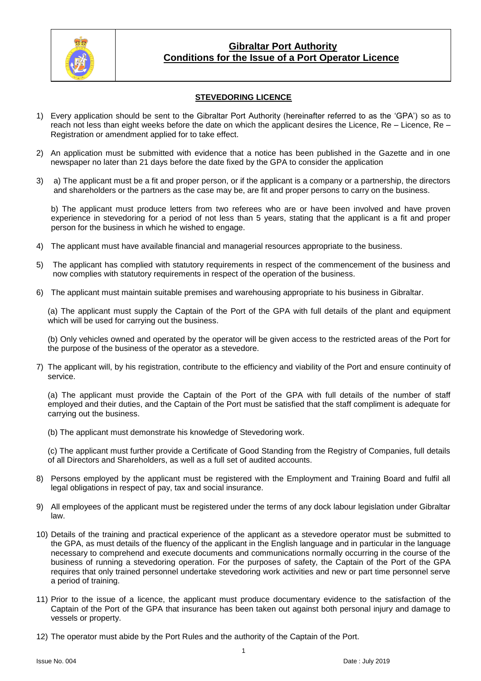

## **Gibraltar Port Authority Conditions for the Issue of a Port Operator Licence**

### **STEVEDORING LICENCE**

- 1) Every application should be sent to the Gibraltar Port Authority (hereinafter referred to as the 'GPA') so as to reach not less than eight weeks before the date on which the applicant desires the Licence, Re – Licence, Re – Registration or amendment applied for to take effect.
- 2) An application must be submitted with evidence that a notice has been published in the Gazette and in one newspaper no later than 21 days before the date fixed by the GPA to consider the application
- 3) a) The applicant must be a fit and proper person, or if the applicant is a company or a partnership, the directors and shareholders or the partners as the case may be, are fit and proper persons to carry on the business.

b) The applicant must produce letters from two referees who are or have been involved and have proven experience in stevedoring for a period of not less than 5 years, stating that the applicant is a fit and proper person for the business in which he wished to engage.

- 4) The applicant must have available financial and managerial resources appropriate to the business.
- 5) The applicant has complied with statutory requirements in respect of the commencement of the business and now complies with statutory requirements in respect of the operation of the business.
- 6) The applicant must maintain suitable premises and warehousing appropriate to his business in Gibraltar.

(a) The applicant must supply the Captain of the Port of the GPA with full details of the plant and equipment which will be used for carrying out the business.

(b) Only vehicles owned and operated by the operator will be given access to the restricted areas of the Port for the purpose of the business of the operator as a stevedore.

7) The applicant will, by his registration, contribute to the efficiency and viability of the Port and ensure continuity of service.

(a) The applicant must provide the Captain of the Port of the GPA with full details of the number of staff employed and their duties, and the Captain of the Port must be satisfied that the staff compliment is adequate for carrying out the business.

(b) The applicant must demonstrate his knowledge of Stevedoring work.

(c) The applicant must further provide a Certificate of Good Standing from the Registry of Companies, full details of all Directors and Shareholders, as well as a full set of audited accounts.

- 8) Persons employed by the applicant must be registered with the Employment and Training Board and fulfil all legal obligations in respect of pay, tax and social insurance.
- 9) All employees of the applicant must be registered under the terms of any dock labour legislation under Gibraltar law.
- 10) Details of the training and practical experience of the applicant as a stevedore operator must be submitted to the GPA, as must details of the fluency of the applicant in the English language and in particular in the language necessary to comprehend and execute documents and communications normally occurring in the course of the business of running a stevedoring operation. For the purposes of safety, the Captain of the Port of the GPA requires that only trained personnel undertake stevedoring work activities and new or part time personnel serve a period of training.
- 11) Prior to the issue of a licence, the applicant must produce documentary evidence to the satisfaction of the Captain of the Port of the GPA that insurance has been taken out against both personal injury and damage to vessels or property.
- 12) The operator must abide by the Port Rules and the authority of the Captain of the Port.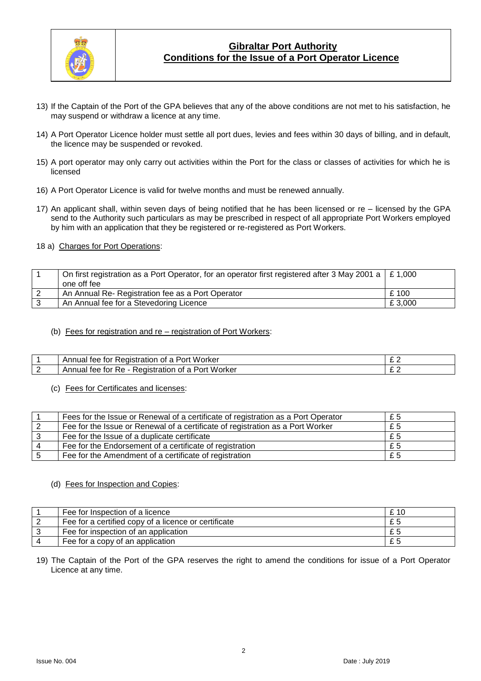

# **Gibraltar Port Authority Conditions for the Issue of a Port Operator Licence**

- 13) If the Captain of the Port of the GPA believes that any of the above conditions are not met to his satisfaction, he may suspend or withdraw a licence at any time.
- 14) A Port Operator Licence holder must settle all port dues, levies and fees within 30 days of billing, and in default, the licence may be suspended or revoked.
- 15) A port operator may only carry out activities within the Port for the class or classes of activities for which he is licensed
- 16) A Port Operator Licence is valid for twelve months and must be renewed annually.
- 17) An applicant shall, within seven days of being notified that he has been licensed or re licensed by the GPA send to the Authority such particulars as may be prescribed in respect of all appropriate Port Workers employed by him with an application that they be registered or re-registered as Port Workers.

#### 18 a) Charges for Port Operations:

| On first registration as a Port Operator, for an operator first registered after 3 May 2001 a $\mid$ £ 1,000<br>one off fee |        |
|-----------------------------------------------------------------------------------------------------------------------------|--------|
| An Annual Re- Registration fee as a Port Operator                                                                           | £100   |
| An Annual fee for a Stevedoring Licence                                                                                     | £3.000 |

#### (b) Fees for registration and re – registration of Port Workers:

|   | Worker<br>Annuai<br>tor<br>tee<br>Port<br>Redistration<br>ΩТ<br><b>C</b>                             | $\sim$ $\sim$<br>∼ ← |
|---|------------------------------------------------------------------------------------------------------|----------------------|
| - | Worker<br>Annual<br>tor<br>Port<br>Οt<br>Re.<br>я<br>тее<br>≺eɑıstratıon<br>$\overline{\phantom{a}}$ | $\sim$ $\sim$<br>- - |

#### (c) Fees for Certificates and licenses:

| Fees for the Issue or Renewal of a certificate of registration as a Port Operator | £5 |
|-----------------------------------------------------------------------------------|----|
| Fee for the Issue or Renewal of a certificate of registration as a Port Worker    | £5 |
| Fee for the Issue of a duplicate certificate                                      | £5 |
| Fee for the Endorsement of a certificate of registration                          | £5 |
| Fee for the Amendment of a certificate of registration                            | £5 |

#### (d) Fees for Inspection and Copies:

| Fee for Inspection of a licence                      | £ 10 |
|------------------------------------------------------|------|
| Fee for a certified copy of a licence or certificate |      |
| Fee for inspection of an application                 |      |
| Fee for a copy of an application                     |      |

19) The Captain of the Port of the GPA reserves the right to amend the conditions for issue of a Port Operator Licence at any time.